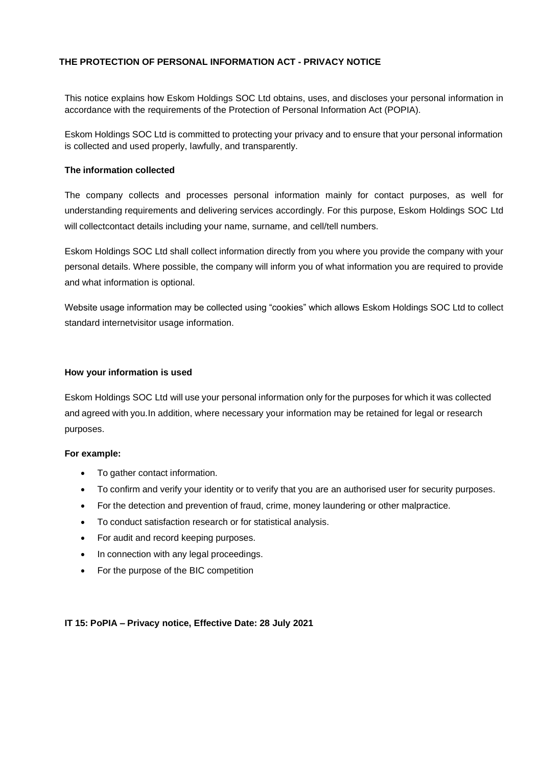# **THE PROTECTION OF PERSONAL INFORMATION ACT - PRIVACY NOTICE**

This notice explains how Eskom Holdings SOC Ltd obtains, uses, and discloses your personal information in accordance with the requirements of the Protection of Personal Information Act (POPIA).

Eskom Holdings SOC Ltd is committed to protecting your privacy and to ensure that your personal information is collected and used properly, lawfully, and transparently.

### **The information collected**

The company collects and processes personal information mainly for contact purposes, as well for understanding requirements and delivering services accordingly. For this purpose, Eskom Holdings SOC Ltd will collectcontact details including your name, surname, and cell/tell numbers.

Eskom Holdings SOC Ltd shall collect information directly from you where you provide the company with your personal details. Where possible, the company will inform you of what information you are required to provide and what information is optional.

Website usage information may be collected using "cookies" which allows Eskom Holdings SOC Ltd to collect standard internetvisitor usage information.

#### **How your information is used**

Eskom Holdings SOC Ltd will use your personal information only for the purposes for which it was collected and agreed with you.In addition, where necessary your information may be retained for legal or research purposes.

## **For example:**

- To gather contact information.
- To confirm and verify your identity or to verify that you are an authorised user for security purposes.
- For the detection and prevention of fraud, crime, money laundering or other malpractice.
- To conduct satisfaction research or for statistical analysis.
- For audit and record keeping purposes.
- In connection with any legal proceedings.
- For the purpose of the BIC competition

## **IT 15: PoPIA – Privacy notice, Effective Date: 28 July 2021**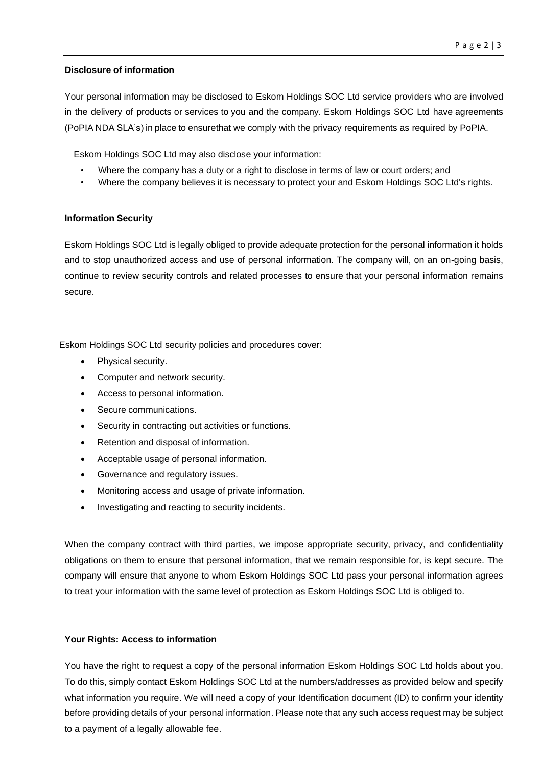#### **Disclosure of information**

Your personal information may be disclosed to Eskom Holdings SOC Ltd service providers who are involved in the delivery of products or services to you and the company. Eskom Holdings SOC Ltd have agreements (PoPIA NDA SLA's) in place to ensurethat we comply with the privacy requirements as required by PoPIA.

Eskom Holdings SOC Ltd may also disclose your information:

- Where the company has a duty or a right to disclose in terms of law or court orders; and
- Where the company believes it is necessary to protect your and Eskom Holdings SOC Ltd's rights.

#### **Information Security**

Eskom Holdings SOC Ltd is legally obliged to provide adequate protection for the personal information it holds and to stop unauthorized access and use of personal information. The company will, on an on-going basis, continue to review security controls and related processes to ensure that your personal information remains secure.

Eskom Holdings SOC Ltd security policies and procedures cover:

- Physical security.
- Computer and network security.
- Access to personal information.
- Secure communications.
- Security in contracting out activities or functions.
- Retention and disposal of information.
- Acceptable usage of personal information.
- Governance and regulatory issues.
- Monitoring access and usage of private information.
- Investigating and reacting to security incidents.

When the company contract with third parties, we impose appropriate security, privacy, and confidentiality obligations on them to ensure that personal information, that we remain responsible for, is kept secure. The company will ensure that anyone to whom Eskom Holdings SOC Ltd pass your personal information agrees to treat your information with the same level of protection as Eskom Holdings SOC Ltd is obliged to.

## **Your Rights: Access to information**

You have the right to request a copy of the personal information Eskom Holdings SOC Ltd holds about you. To do this, simply contact Eskom Holdings SOC Ltd at the numbers/addresses as provided below and specify what information you require. We will need a copy of your Identification document (ID) to confirm your identity before providing details of your personal information. Please note that any such access request may be subject to a payment of a legally allowable fee.